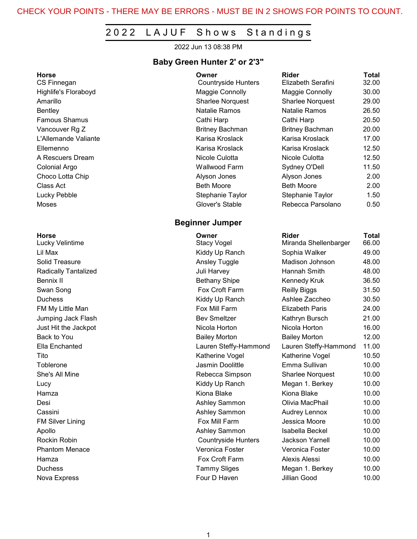#### CHECK YOUR POINTS - THERE MAY BE ERRORS - MUST BE IN 2 SHOWS FOR POINTS TO COUNT.

### 2022 LAJUF Shows Standings

2022 Jun 13 08:38 PM

#### Baby Green Hunter 2' or 2'3"

#### Beginner Jumper

| Horse                | Owner                      | <b>Rider</b>            | <b>Total</b> |
|----------------------|----------------------------|-------------------------|--------------|
| CS Finnegan          | <b>Countryside Hunters</b> | Elizabeth Serafini      | 32.00        |
| Highlife's Floraboyd | Maggie Connolly            | Maggie Connolly         | 30.00        |
| Amarillo             | <b>Sharlee Norquest</b>    | <b>Sharlee Norquest</b> | 29.00        |
| Bentley              | Natalie Ramos              | Natalie Ramos           | 26.50        |
| Famous Shamus        | Cathi Harp                 | Cathi Harp              | 20.50        |
| Vancouver Rg Z       | <b>Britney Bachman</b>     | <b>Britney Bachman</b>  | 20.00        |
| L'Allemande Valiante | Karisa Kroslack            | Karisa Kroslack         | 17.00        |
| Ellemenno            | Karisa Kroslack            | Karisa Kroslack         | 12.50        |
| A Rescuers Dream     | Nicole Culotta             | Nicole Culotta          | 12.50        |
| Colonial Argo        | <b>Wallwood Farm</b>       | Sydney O'Dell           | 11.50        |
| Choco Lotta Chip     | Alyson Jones               | Alyson Jones            | 2.00         |
| Class Act            | <b>Beth Moore</b>          | <b>Beth Moore</b>       | 2.00         |
| Lucky Pebble         | Stephanie Taylor           | Stephanie Taylor        | 1.50         |
| Moses                | Glover's Stable            | Rebecca Parsolano       | 0.50         |

| Horse                       | Owner                      | <b>Rider</b>            | Total |
|-----------------------------|----------------------------|-------------------------|-------|
| Lucky Velintime             | <b>Stacy Vogel</b>         | Miranda Shellenbarger   | 66.00 |
| Lil Max                     | Kiddy Up Ranch             | Sophia Walker           | 49.00 |
| Solid Treasure              | Ansley Tuggle              | Madison Johnson         | 48.00 |
| <b>Radically Tantalized</b> | Juli Harvey                | Hannah Smith            | 48.00 |
| Bennix II                   | <b>Bethany Shipe</b>       | Kennedy Kruk            | 36.50 |
| Swan Song                   | Fox Croft Farm             | <b>Reilly Biggs</b>     | 31.50 |
| <b>Duchess</b>              | Kiddy Up Ranch             | Ashlee Zaccheo          | 30.50 |
| FM My Little Man            | Fox Mill Farm              | <b>Elizabeth Paris</b>  | 24.00 |
| Jumping Jack Flash          | <b>Bev Smeltzer</b>        | Kathryn Bursch          | 21.00 |
| Just Hit the Jackpot        | Nicola Horton              | Nicola Horton           | 16.00 |
| Back to You                 | <b>Bailey Morton</b>       | <b>Bailey Morton</b>    | 12.00 |
| Ella Enchanted              | Lauren Steffy-Hammond      | Lauren Steffy-Hammond   | 11.00 |
| Tito                        | Katherine Vogel            | Katherine Vogel         | 10.50 |
| Toblerone                   | Jasmin Doolittle           | Emma Sullivan           | 10.00 |
| She's All Mine              | Rebecca Simpson            | <b>Sharlee Norquest</b> | 10.00 |
| Lucy                        | Kiddy Up Ranch             | Megan 1. Berkey         | 10.00 |
| Hamza                       | Kiona Blake                | Kiona Blake             | 10.00 |
| Desi                        | <b>Ashley Sammon</b>       | Olivia MacPhail         | 10.00 |
| Cassini                     | Ashley Sammon              | <b>Audrey Lennox</b>    | 10.00 |
| <b>FM Silver Lining</b>     | Fox Mill Farm              | Jessica Moore           | 10.00 |
| Apollo                      | Ashley Sammon              | Isabella Beckel         | 10.00 |
| Rockin Robin                | <b>Countryside Hunters</b> | <b>Jackson Yarnell</b>  | 10.00 |
| <b>Phantom Menace</b>       | Veronica Foster            | Veronica Foster         | 10.00 |
| Hamza                       | Fox Croft Farm             | Alexis Alessi           | 10.00 |
| Duchess                     | <b>Tammy Sliges</b>        | Megan 1. Berkey         | 10.00 |
| Nova Express                | Four D Haven               | Jillian Good            | 10.00 |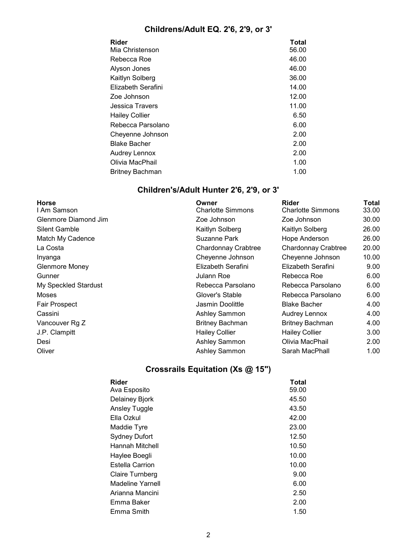# Childrens/Adult EQ. 2'6, 2'9, or 3'

| Rider<br>Mia Christenson | <b>Total</b><br>56.00 |
|--------------------------|-----------------------|
|                          |                       |
| Rebecca Roe              | 46.00                 |
| Alyson Jones             | 46.00                 |
| Kaitlyn Solberg          | 36.00                 |
| Elizabeth Serafini       | 14.00                 |
| Zoe Johnson              | 12.00                 |
| Jessica Travers          | 11.00                 |
| <b>Hailey Collier</b>    | 6.50                  |
| Rebecca Parsolano        | 6.00                  |
| Cheyenne Johnson         | 2.00                  |
| Blake Bacher             | 2.00                  |
| Audrey Lennox            | 2.00                  |
| Olivia MacPhail          | 1.00                  |
| Britney Bachman          | 1.00                  |
|                          |                       |

# Children's/Adult Hunter 2'6, 2'9, or 3'

| <b>Horse</b><br>I Am Samson | Owner<br><b>Charlotte Simmons</b> | <b>Rider</b><br><b>Charlotte Simmons</b> | Total<br>33.00 |
|-----------------------------|-----------------------------------|------------------------------------------|----------------|
| Glenmore Diamond Jim        | Zoe Johnson                       | Zoe Johnson                              | 30.00          |
| <b>Silent Gamble</b>        | Kaitlyn Solberg                   | Kaitlyn Solberg                          | 26.00          |
| Match My Cadence            | Suzanne Park                      | Hope Anderson                            | 26.00          |
| La Costa                    | Chardonnay Crabtree               | <b>Chardonnay Crabtree</b>               | 20.00          |
| Inyanga                     | Cheyenne Johnson                  | Cheyenne Johnson                         | 10.00          |
| Glenmore Money              | Elizabeth Serafini                | Elizabeth Serafini                       | 9.00           |
| Gunner                      | Julann Roe                        | Rebecca Roe                              | 6.00           |
| My Speckled Stardust        | Rebecca Parsolano                 | Rebecca Parsolano                        | 6.00           |
| Moses                       | Glover's Stable                   | Rebecca Parsolano                        | 6.00           |
| <b>Fair Prospect</b>        | Jasmin Doolittle                  | <b>Blake Bacher</b>                      | 4.00           |
| Cassini                     | Ashley Sammon                     | Audrey Lennox                            | 4.00           |
| Vancouver Rg Z              | <b>Britney Bachman</b>            | <b>Britney Bachman</b>                   | 4.00           |
| J.P. Clampitt               | <b>Hailey Collier</b>             | <b>Hailey Collier</b>                    | 3.00           |
| Desi                        | Ashley Sammon                     | Olivia MacPhail                          | 2.00           |
| Oliver                      | <b>Ashley Sammon</b>              | Sarah MacPhall                           | 1.00           |
|                             |                                   |                                          |                |

# Crossrails Equitation (Xs @ 15")

| Rider                  | Total |
|------------------------|-------|
| Ava Esposito           | 59.00 |
| Delainey Bjork         | 45.50 |
| <b>Ansley Tuggle</b>   | 43.50 |
| Ella Ozkul             | 42.00 |
| Maddie Tyre            | 23.00 |
| <b>Sydney Dufort</b>   | 12.50 |
| Hannah Mitchell        | 10.50 |
| Haylee Boegli          | 10.00 |
| <b>Estella Carrion</b> | 10.00 |
| Claire Turnberg        | 9.00  |
| Madeline Yarnell       | 6.00  |
| Arianna Mancini        | 2.50  |
| Emma Baker             | 2.00  |
| Emma Smith             | 1.50  |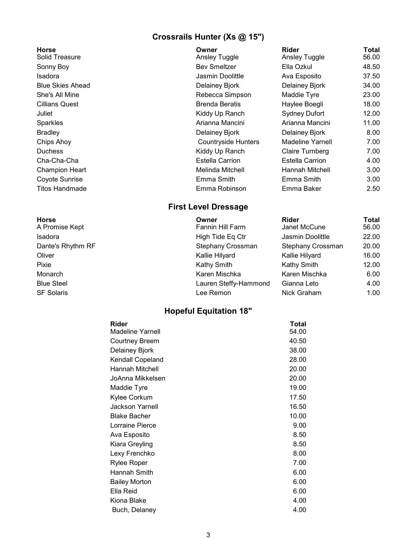### Crossrails Hunter (Xs @ 15")

| <b>Horse</b>            | Owner                      | <b>Rider</b>           | <b>Total</b> |
|-------------------------|----------------------------|------------------------|--------------|
| Solid Treasure          | Ansley Tuggle              | <b>Ansley Tuggle</b>   | 56.00        |
| Sonny Boy               | <b>Bev Smeltzer</b>        | Ella Ozkul             | 48.50        |
| Isadora                 | Jasmin Doolittle           | Ava Esposito           | 37.50        |
| <b>Blue Skies Ahead</b> | Delainey Bjork             | Delainey Bjork         | 34.00        |
| She's All Mine          | Rebecca Simpson            | Maddie Tyre            | 23.00        |
| Cillians Quest          | <b>Brenda Beratis</b>      | Haylee Boegli          | 18.00        |
| Juliet                  | Kiddy Up Ranch             | <b>Sydney Dufort</b>   | 12.00        |
| Sparkles                | Arianna Mancini            | Arianna Mancini        | 11.00        |
| Bradley                 | Delainey Bjork             | Delainey Bjork         | 8.00         |
| Chips Ahoy              | <b>Countryside Hunters</b> | Madeline Yarnell       | 7.00         |
| <b>Duchess</b>          | Kiddy Up Ranch             | Claire Turnberg        | 7.00         |
| Cha-Cha-Cha             | Estella Carrion            | <b>Estella Carrion</b> | 4.00         |
| Champion Heart          | Melinda Mitchell           | Hannah Mitchell        | 3.00         |
| Coyote Sunrise          | Emma Smith                 | Emma Smith             | 3.00         |
| Titos Handmade          | Emma Robinson              | Emma Baker             | 2.50         |

#### First Level Dressage

| <b>Horse</b>      | Owner                 | <b>Rider</b>      | Total |
|-------------------|-----------------------|-------------------|-------|
| A Promise Kept    | Fannin Hill Farm      | Janet McCune      | 56.00 |
| Isadora           | High Tide Eq Ctr      | Jasmin Doolittle  | 22.00 |
| Dante's Rhythm RF | Stephany Crossman     | Stephany Crossman | 20.00 |
| Oliver            | Kallie Hilyard        | Kallie Hilyard    | 16.00 |
| Pixie             | Kathy Smith           | Kathy Smith       | 12.00 |
| Monarch           | Karen Mischka         | Karen Mischka     | 6.00  |
| <b>Blue Steel</b> | Lauren Steffy-Hammond | Gianna Leto       | 4.00  |
| <b>SF Solaris</b> | Lee Remon             | Nick Graham       | 1.00  |
|                   |                       |                   |       |

### Hopeful Equitation 18"

| Rider                   | <b>Total</b> |
|-------------------------|--------------|
| Madeline Yarnell        | 54.00        |
| <b>Courtney Breem</b>   | 40.50        |
| Delainey Bjork          | 38.00        |
| <b>Kendall Copeland</b> | 28.00        |
| Hannah Mitchell         | 20.00        |
| JoAnna Mikkelsen        | 20.00        |
| Maddie Tyre             | 19.00        |
| Kylee Corkum            | 17.50        |
| <b>Jackson Yarnell</b>  | 16.50        |
| <b>Blake Bacher</b>     | 10.00        |
| Lorraine Pierce         | 9.00         |
| Ava Esposito            | 8.50         |
| Kiara Greyling          | 8.50         |
| Lexy Frenchko           | 8.00         |
| Rylee Roper             | 7.00         |
| Hannah Smith            | 6.00         |
| <b>Bailey Morton</b>    | 6.00         |
| Ella Reid               | 6.00         |
| Kiona Blake             | 4.00         |
| Buch, Delaney           | 4.00         |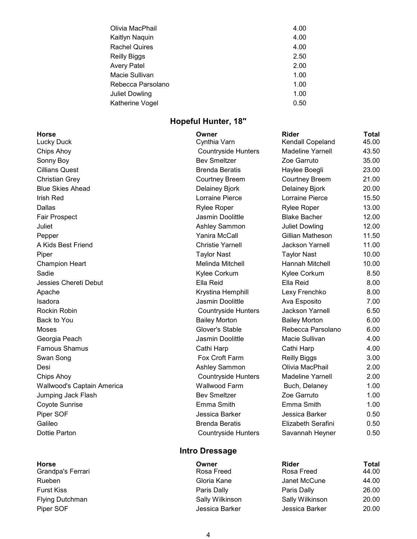| Olivia MacPhail       | 4.00 |
|-----------------------|------|
| Kaitlyn Naquin        | 4.00 |
| <b>Rachel Quires</b>  | 4.00 |
| Reilly Biggs          | 2.50 |
| Avery Patel           | 2.00 |
| Macie Sullivan        | 1.00 |
| Rebecca Parsolano     | 1.00 |
| <b>Juliet Dowling</b> | 1.00 |
| Katherine Vogel       | 0.50 |
|                       |      |

## Hopeful Hunter, 18"

| <b>Horse</b><br><b>Lucky Duck</b> | Owner<br>Cynthia Varn      | <b>Rider</b><br><b>Kendall Copeland</b> | <b>Total</b><br>45.00 |
|-----------------------------------|----------------------------|-----------------------------------------|-----------------------|
| Chips Ahoy                        | <b>Countryside Hunters</b> | <b>Madeline Yarnell</b>                 | 43.50                 |
| Sonny Boy                         | <b>Bev Smeltzer</b>        | Zoe Garruto                             | 35.00                 |
| <b>Cillians Quest</b>             | <b>Brenda Beratis</b>      |                                         | 23.00                 |
|                                   |                            | Haylee Boegli                           |                       |
| <b>Christian Grey</b>             | <b>Courtney Breem</b>      | <b>Courtney Breem</b>                   | 21.00                 |
| <b>Blue Skies Ahead</b>           | <b>Delainey Bjork</b>      | <b>Delainey Bjork</b>                   | 20.00                 |
| <b>Irish Red</b>                  | Lorraine Pierce            | Lorraine Pierce                         | 15.50                 |
| <b>Dallas</b>                     | <b>Rylee Roper</b>         | <b>Rylee Roper</b>                      | 13.00                 |
| <b>Fair Prospect</b>              | Jasmin Doolittle           | <b>Blake Bacher</b>                     | 12.00                 |
| Juliet                            | Ashley Sammon              | <b>Juliet Dowling</b>                   | 12.00                 |
| Pepper                            | Yanira McCall              | Gillian Matheson                        | 11.50                 |
| A Kids Best Friend                | <b>Christie Yarnell</b>    | <b>Jackson Yarnell</b>                  | 11.00                 |
| Piper                             | <b>Taylor Nast</b>         | <b>Taylor Nast</b>                      | 10.00                 |
| <b>Champion Heart</b>             | Melinda Mitchell           | Hannah Mitchell                         | 10.00                 |
| Sadie                             | Kylee Corkum               | Kylee Corkum                            | 8.50                  |
| Jessies Chereti Debut             | Ella Reid                  | Ella Reid                               | 8.00                  |
| Apache                            | Krystina Hemphill          | Lexy Frenchko                           | 8.00                  |
| Isadora                           | Jasmin Doolittle           | Ava Esposito                            | 7.00                  |
| Rockin Robin                      | <b>Countryside Hunters</b> | <b>Jackson Yarnell</b>                  | 6.50                  |
| Back to You                       | <b>Bailey Morton</b>       | <b>Bailey Morton</b>                    | 6.00                  |
| Moses                             | Glover's Stable            | Rebecca Parsolano                       | 6.00                  |
| Georgia Peach                     | Jasmin Doolittle           | Macie Sullivan                          | 4.00                  |
| <b>Famous Shamus</b>              | Cathi Harp                 | Cathi Harp                              | 4.00                  |
| Swan Song                         | Fox Croft Farm             | <b>Reilly Biggs</b>                     | 3.00                  |
| Desi                              | Ashley Sammon              | Olivia MacPhail                         | 2.00                  |
| Chips Ahoy                        | <b>Countryside Hunters</b> | <b>Madeline Yarnell</b>                 | 2.00                  |
| Wallwood's Captain America        | <b>Wallwood Farm</b>       | Buch, Delaney                           | 1.00                  |
| Jumping Jack Flash                | <b>Bev Smeltzer</b>        | Zoe Garruto                             | 1.00                  |
| Coyote Sunrise                    | Emma Smith                 | Emma Smith                              | 1.00                  |
| Piper SOF                         | Jessica Barker             | Jessica Barker                          | 0.50                  |
| Galileo                           | <b>Brenda Beratis</b>      | Elizabeth Serafini                      | 0.50                  |
| Dottie Parton                     | <b>Countryside Hunters</b> | Savannah Heyner                         | 0.50                  |

# Intro Dressage

| <b>Horse</b>           | Owner           | Rider           | Total |
|------------------------|-----------------|-----------------|-------|
| Grandpa's Ferrari      | Rosa Freed      | Rosa Freed      | 44.00 |
| Rueben                 | Gloria Kane     | Janet McCune    | 44.00 |
| <b>Furst Kiss</b>      | Paris Dally     | Paris Dally     | 26.00 |
| <b>Flying Dutchman</b> | Sally Wilkinson | Sally Wilkinson | 20.00 |
| Piper SOF              | Jessica Barker  | Jessica Barker  | 20.00 |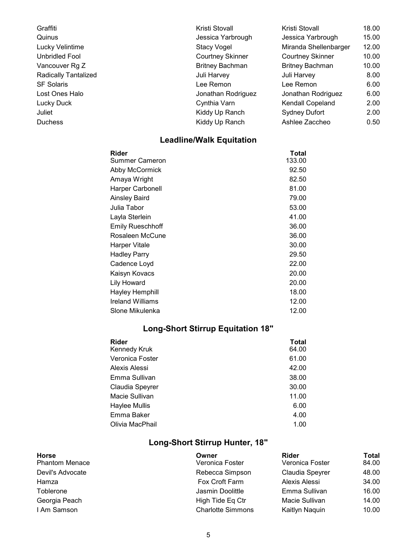| Graffiti                    | Kristi Stovall          | Kristi Stovall          | 18.00 |
|-----------------------------|-------------------------|-------------------------|-------|
| Quinus                      | Jessica Yarbrough       | Jessica Yarbrough       | 15.00 |
| Lucky Velintime             | Stacy Vogel             | Miranda Shellenbarger   | 12.00 |
| Unbridled Fool              | <b>Courtney Skinner</b> | <b>Courtney Skinner</b> | 10.00 |
| Vancouver Rg Z              | <b>Britney Bachman</b>  | <b>Britney Bachman</b>  | 10.00 |
| <b>Radically Tantalized</b> | Juli Harvey             | Juli Harvey             | 8.00  |
| <b>SF Solaris</b>           | Lee Remon               | Lee Remon               | 6.00  |
| Lost Ones Halo              | Jonathan Rodriguez      | Jonathan Rodriguez      | 6.00  |
| Lucky Duck                  | Cynthia Varn            | Kendall Copeland        | 2.00  |
| Juliet                      | Kiddy Up Ranch          | <b>Sydney Dufort</b>    | 2.00  |
| <b>Duchess</b>              | Kiddy Up Ranch          | Ashlee Zaccheo          | 0.50  |

# Leadline/Walk Equitation

| Rider                   | Total  |
|-------------------------|--------|
| Summer Cameron          | 133.00 |
| Abby McCormick          | 92.50  |
| Amaya Wright            | 82.50  |
| <b>Harper Carbonell</b> | 81.00  |
| Ainsley Baird           | 79.00  |
| Julia Tabor             | 53.00  |
| Layla Sterlein          | 41.00  |
| <b>Emily Rueschhoff</b> | 36.00  |
| Rosaleen McCune         | 36.00  |
| Harper Vitale           | 30.00  |
| Hadley Parry            | 29.50  |
| Cadence Loyd            | 22.00  |
| Kaisyn Kovacs           | 20.00  |
| <b>Lily Howard</b>      | 20.00  |
| Hayley Hemphill         | 18.00  |
| <b>Ireland Williams</b> | 12.00  |
| Slone Mikulenka         | 12.00  |

# Long-Short Stirrup Equitation 18"

| Rider           | Total |
|-----------------|-------|
| Kennedy Kruk    | 64.00 |
| Veronica Foster | 61.00 |
| Alexis Alessi   | 42.00 |
| Emma Sullivan   | 38.00 |
| Claudia Speyrer | 30.00 |
| Macie Sullivan  | 11.00 |
| Haylee Mullis   | 6.00  |
| Emma Baker      | 4.00  |
| Olivia MacPhail | 1.00  |

# Long-Short Stirrup Hunter, 18"

| <b>Horse</b><br><b>Phantom Menace</b> | Owner<br>Veronica Foster | <b>Rider</b><br>Veronica Foster | Total<br>84.00 |
|---------------------------------------|--------------------------|---------------------------------|----------------|
| Devil's Advocate                      | Rebecca Simpson          | Claudia Speyrer                 | 48.00          |
| Hamza                                 | Fox Croft Farm           | Alexis Alessi                   | 34.00          |
| Toblerone                             | Jasmin Doolittle         | Emma Sullivan                   | 16.00          |
| Georgia Peach                         | High Tide Eq Ctr         | Macie Sullivan                  | 14.00          |
| I Am Samson                           | <b>Charlotte Simmons</b> | Kaitlyn Naquin                  | 10.00          |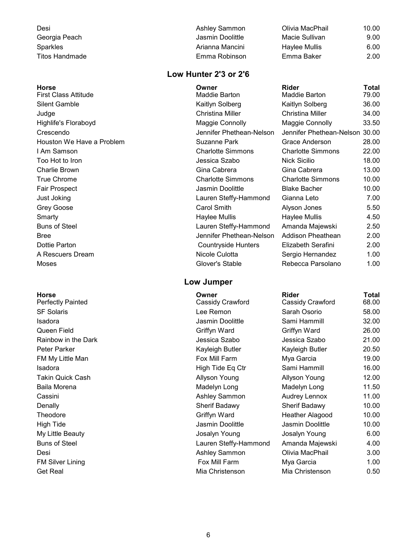| Desi            | Ashley Sammon    | Olivia MacPhail | 10.00 |
|-----------------|------------------|-----------------|-------|
| Georgia Peach   | Jasmin Doolittle | Macie Sullivan  | 9.00  |
| <b>Sparkles</b> | Arianna Mancini  | Haylee Mullis   | 6.00  |
| Titos Handmade  | Emma Robinson    | Emma Baker      | 2.00  |

#### Low Hunter 2'3 or 2'6

| <b>Horse</b>                | Owner                      | <b>Rider</b>             | Total |
|-----------------------------|----------------------------|--------------------------|-------|
| <b>First Class Attitude</b> | Maddie Barton              | Maddie Barton            | 79.00 |
| <b>Silent Gamble</b>        | Kaitlyn Solberg            | Kaitlyn Solberg          | 36.00 |
| Judge                       | <b>Christina Miller</b>    | Christina Miller         | 34.00 |
| Highlife's Floraboyd        | Maggie Connolly            | Maggie Connolly          | 33.50 |
| Crescendo                   | Jennifer Phethean-Nelson   | Jennifer Phethean-Nelson | 30.00 |
| Houston We Have a Problem   | Suzanne Park               | Grace Anderson           | 28.00 |
| I Am Samson                 | <b>Charlotte Simmons</b>   | <b>Charlotte Simmons</b> | 22.00 |
| Too Hot to Iron             | Jessica Szabo              | <b>Nick Sicilio</b>      | 18.00 |
| Charlie Brown               | Gina Cabrera               | Gina Cabrera             | 13.00 |
| <b>True Chrome</b>          | <b>Charlotte Simmons</b>   | <b>Charlotte Simmons</b> | 10.00 |
| Fair Prospect               | Jasmin Doolittle           | <b>Blake Bacher</b>      | 10.00 |
| Just Joking                 | Lauren Steffy-Hammond      | Gianna Leto              | 7.00  |
| Grey Goose                  | Carol Smith                | Alyson Jones             | 5.50  |
| Smarty                      | Haylee Mullis              | Haylee Mullis            | 4.50  |
| <b>Buns of Steel</b>        | Lauren Steffy-Hammond      | Amanda Majewski          | 2.50  |
| <b>Bree</b>                 | Jennifer Phethean-Nelson   | Addison Pheathean        | 2.00  |
| Dottie Parton               | <b>Countryside Hunters</b> | Elizabeth Serafini       | 2.00  |
| A Rescuers Dream            | Nicole Culotta             | Sergio Hernandez         | 1.00  |
| Moses                       | Glover's Stable            | Rebecca Parsolano        | 1.00  |

#### Low Jumper

| <b>Horse</b><br><b>Perfectly Painted</b> | Owner<br>Cassidy Crawford | <b>Rider</b><br>Cassidy Crawford | Total<br>68.00 |
|------------------------------------------|---------------------------|----------------------------------|----------------|
| <b>SF Solaris</b>                        | Lee Remon                 | Sarah Osorio                     | 58.00          |
| Isadora                                  | Jasmin Doolittle          | Sami Hammill                     | 32.00          |
| Queen Field                              | Griffyn Ward              | Griffyn Ward                     | 26.00          |
| Rainbow in the Dark                      | Jessica Szabo             | Jessica Szabo                    | 21.00          |
| Peter Parker                             | Kayleigh Butler           | Kayleigh Butler                  | 20.50          |
| FM My Little Man                         | Fox Mill Farm             | Mya Garcia                       | 19.00          |
| Isadora                                  | High Tide Eq Ctr          | Sami Hammill                     | 16.00          |
| Takin Quick Cash                         | <b>Allyson Young</b>      | <b>Allyson Young</b>             | 12.00          |
| Baila Morena                             | Madelyn Long              | Madelyn Long                     | 11.50          |
| Cassini                                  | Ashley Sammon             | <b>Audrey Lennox</b>             | 11.00          |
| Denally                                  | <b>Sherif Badawy</b>      | Sherif Badawy                    | 10.00          |
| Theodore                                 | Griffyn Ward              | Heather Alagood                  | 10.00          |
| <b>High Tide</b>                         | Jasmin Doolittle          | Jasmin Doolittle                 | 10.00          |
| My Little Beauty                         | Josalyn Young             | Josalyn Young                    | 6.00           |
| <b>Buns of Steel</b>                     | Lauren Steffy-Hammond     | Amanda Majewski                  | 4.00           |
| Desi                                     | Ashley Sammon             | Olivia MacPhail                  | 3.00           |
| <b>FM Silver Lining</b>                  | Fox Mill Farm             | Mya Garcia                       | 1.00           |
| <b>Get Real</b>                          | Mia Christenson           | Mia Christenson                  | 0.50           |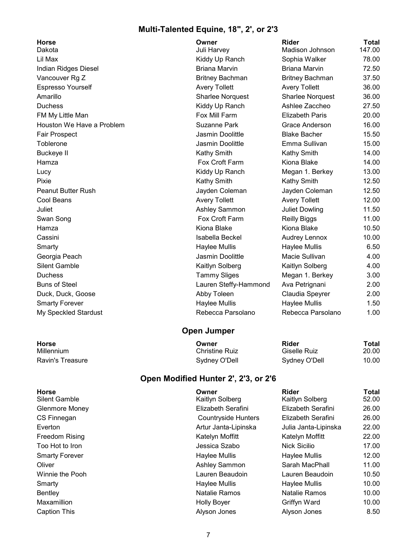### Multi-Talented Equine, 18", 2', or 2'3

| Danula                      |
|-----------------------------|
| Lil Max                     |
| <b>Indian Ridges Diesel</b> |
| Vancouver Rg Z              |
| <b>Espresso Yourself</b>    |
| Amarillo                    |
| <b>Duchess</b>              |
| FM My Little Man            |
| Houston We Have a Problem   |
| Fair Prospect               |
| Toblerone                   |
| <b>Buckeye II</b>           |
| Hamza                       |
| Lucy                        |
| Pixie                       |
| <b>Peanut Butter Rush</b>   |
| Cool Beans                  |
| Juliet                      |
| Swan Song                   |
| Hamza                       |
| Cassini                     |
| Smarty                      |
| Georgia Peach               |
| <b>Silent Gamble</b>        |
| Duchess                     |
| <b>Buns of Steel</b>        |
| Duck, Duck, Goose           |
| <b>Smarty Forever</b>       |
| My Speckled Stardust        |

| <b>Horse</b><br>Dakota    | Owner<br>Juli Harvey   | <b>Rider</b><br>Madison Johnson | Total<br>147.00 |
|---------------------------|------------------------|---------------------------------|-----------------|
| Lil Max                   | Kiddy Up Ranch         | Sophia Walker                   | 78.00           |
| Indian Ridges Diesel      | Briana Marvin          | Briana Marvin                   | 72.50           |
| Vancouver Rg Z            | <b>Britney Bachman</b> | <b>Britney Bachman</b>          | 37.50           |
| Espresso Yourself         | <b>Avery Tollett</b>   | <b>Avery Tollett</b>            | 36.00           |
| Amarillo                  | Sharlee Norquest       | <b>Sharlee Norquest</b>         | 36.00           |
| Duchess                   | Kiddy Up Ranch         | Ashlee Zaccheo                  | 27.50           |
| FM My Little Man          | Fox Mill Farm          | <b>Elizabeth Paris</b>          | 20.00           |
| Houston We Have a Problem | Suzanne Park           | Grace Anderson                  | 16.00           |
| Fair Prospect             | Jasmin Doolittle       | <b>Blake Bacher</b>             | 15.50           |
| Toblerone                 | Jasmin Doolittle       | Emma Sullivan                   | 15.00           |
| <b>Buckeye II</b>         | Kathy Smith            | Kathy Smith                     | 14.00           |
| Hamza                     | Fox Croft Farm         | Kiona Blake                     | 14.00           |
| Lucy                      | Kiddy Up Ranch         | Megan 1. Berkey                 | 13.00           |
| Pixie                     | Kathy Smith            | Kathy Smith                     | 12.50           |
| Peanut Butter Rush        | Jayden Coleman         | Jayden Coleman                  | 12.50           |
| Cool Beans                | <b>Avery Tollett</b>   | <b>Avery Tollett</b>            | 12.00           |
| Juliet                    | Ashley Sammon          | <b>Juliet Dowling</b>           | 11.50           |
| Swan Song                 | Fox Croft Farm         | <b>Reilly Biggs</b>             | 11.00           |
| Hamza                     | Kiona Blake            | Kiona Blake                     | 10.50           |
| Cassini                   | Isabella Beckel        | <b>Audrey Lennox</b>            | 10.00           |
| Smarty                    | Haylee Mullis          | Haylee Mullis                   | 6.50            |
| Georgia Peach             | Jasmin Doolittle       | Macie Sullivan                  | 4.00            |
| <b>Silent Gamble</b>      | Kaitlyn Solberg        | Kaitlyn Solberg                 | 4.00            |
| Duchess                   | <b>Tammy Sliges</b>    | Megan 1. Berkey                 | 3.00            |
| <b>Buns of Steel</b>      | Lauren Steffy-Hammond  | Ava Petrignani                  | 2.00            |
| Duck, Duck, Goose         | Abby Toleen            | Claudia Speyrer                 | 2.00            |
| <b>Smarty Forever</b>     | Haylee Mullis          | <b>Haylee Mullis</b>            | 1.50            |
| My Speckled Stardust      | Rebecca Parsolano      | Rebecca Parsolano               | 1.00            |

### Open Jumper

| Horse            | Owner          | Rider         | Total |
|------------------|----------------|---------------|-------|
| Millennium       | Christine Ruiz | Giselle Ruiz  | 20.00 |
| Ravin's Treasure | Sydney O'Dell  | Sydney O'Dell | 10.00 |

### Open Modified Hunter 2', 2'3, or 2'6

| <b>Horse</b><br>Silent Gamble | Owner<br>Kaitlyn Solberg   | <b>Rider</b><br>Kaitlyn Solberg | Total<br>52.00 |
|-------------------------------|----------------------------|---------------------------------|----------------|
| Glenmore Money                | Elizabeth Serafini         | Elizabeth Serafini              | 26.00          |
| CS Finnegan                   | <b>Countryside Hunters</b> | Elizabeth Serafini              | 26.00          |
| Everton                       | Artur Janta-Lipinska       | Julia Janta-Lipinska            | 22.00          |
| Freedom Rising                | Katelyn Moffitt            | Katelyn Moffitt                 | 22.00          |
| Too Hot to Iron               | Jessica Szabo              | Nick Sicilio                    | 17.00          |
| <b>Smarty Forever</b>         | Haylee Mullis              | Haylee Mullis                   | 12.00          |
| Oliver                        | Ashley Sammon              | Sarah MacPhall                  | 11.00          |
| Winnie the Pooh               | Lauren Beaudoin            | Lauren Beaudoin                 | 10.50          |
| Smarty                        | Haylee Mullis              | Haylee Mullis                   | 10.00          |
| Bentley                       | Natalie Ramos              | Natalie Ramos                   | 10.00          |
| Maxamillion                   | <b>Holly Boyer</b>         | Griffyn Ward                    | 10.00          |
| Caption This                  | Alyson Jones               | Alyson Jones                    | 8.50           |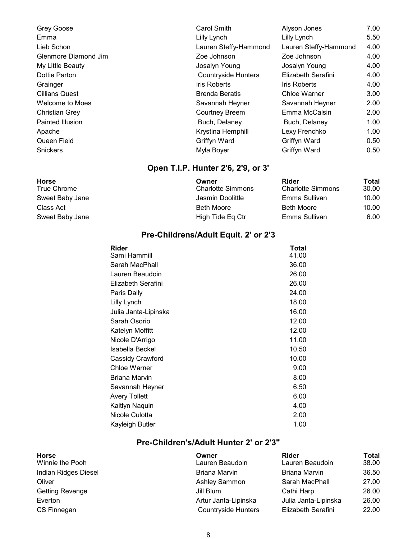| Grey Goose            | <b>Carol Smith</b>         | Alyson Jones          | 7.00 |
|-----------------------|----------------------------|-----------------------|------|
| Emma                  | Lilly Lynch                | Lilly Lynch           | 5.50 |
| Lieb Schon            | Lauren Steffy-Hammond      | Lauren Steffy-Hammond | 4.00 |
| Glenmore Diamond Jim  | Zoe Johnson                | Zoe Johnson           | 4.00 |
| My Little Beauty      | Josalyn Young              | Josalyn Young         | 4.00 |
| Dottie Parton         | <b>Countryside Hunters</b> | Elizabeth Serafini    | 4.00 |
| Grainger              | <b>Iris Roberts</b>        | <b>Iris Roberts</b>   | 4.00 |
| <b>Cillians Quest</b> | <b>Brenda Beratis</b>      | Chloe Warner          | 3.00 |
| Welcome to Moes       | Savannah Heyner            | Savannah Heyner       | 2.00 |
| <b>Christian Grey</b> | <b>Courtney Breem</b>      | Emma McCalsin         | 2.00 |
| Painted Illusion      | Buch, Delaney              | Buch, Delaney         | 1.00 |
| Apache                | Krystina Hemphill          | Lexy Frenchko         | 1.00 |
| Queen Field           | Griffyn Ward               | Griffyn Ward          | 0.50 |
| <b>Snickers</b>       | Myla Boyer                 | Griffyn Ward          | 0.50 |

### Open T.I.P. Hunter 2'6, 2'9, or 3'

| Horse           | Owner                    | Rider                    | Total |
|-----------------|--------------------------|--------------------------|-------|
| True Chrome     | <b>Charlotte Simmons</b> | <b>Charlotte Simmons</b> | 30.00 |
| Sweet Baby Jane | Jasmin Doolittle         | Emma Sullivan            | 10.00 |
| Class Act       | <b>Beth Moore</b>        | <b>Beth Moore</b>        | 10.00 |
| Sweet Baby Jane | High Tide Eq Ctr         | Emma Sullivan            | 6.00  |

### Pre-Childrens/Adult Equit. 2' or 2'3

| Rider                | Total |
|----------------------|-------|
| Sami Hammill         | 41.00 |
| Sarah MacPhall       | 36.00 |
| Lauren Beaudoin      | 26.00 |
| Elizabeth Serafini   | 26.00 |
| Paris Dally          | 24.00 |
| Lilly Lynch          | 18.00 |
| Julia Janta-Lipinska | 16.00 |
| Sarah Osorio         | 12.00 |
| Katelyn Moffitt      | 12.00 |
| Nicole D'Arrigo      | 11.00 |
| Isabella Beckel      | 10.50 |
| Cassidy Crawford     | 10.00 |
| Chloe Warner         | 9.00  |
| Briana Marvin        | 8.00  |
| Savannah Heyner      | 6.50  |
| <b>Avery Tollett</b> | 6.00  |
| Kaitlyn Naquin       | 4.00  |
| Nicole Culotta       | 2.00  |
| Kayleigh Butler      | 1.00  |
|                      |       |

### Pre-Children's/Adult Hunter 2' or 2'3"

| <b>Horse</b>           | Owner                      | <b>Rider</b>         | Total |
|------------------------|----------------------------|----------------------|-------|
| Winnie the Pooh        | Lauren Beaudoin            | Lauren Beaudoin      | 38.00 |
| Indian Ridges Diesel   | <b>Briana Marvin</b>       | <b>Briana Marvin</b> | 36.50 |
| Oliver                 | Ashley Sammon              | Sarah MacPhall       | 27.00 |
| <b>Getting Revenge</b> | Jill Blum                  | Cathi Harp           | 26.00 |
| Everton                | Artur Janta-Lipinska       | Julia Janta-Lipinska | 26.00 |
| CS Finnegan            | <b>Countryside Hunters</b> | Elizabeth Serafini   | 22.00 |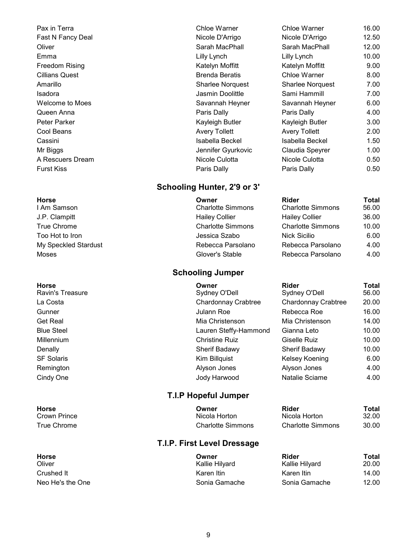**I Am Samson** Charlotte Simmons J.P. Clampitt **Hailey Collier** 36.000 Hailey Collier True Chrome **Charlotte Simmons** Too Hot to Iron **The Internal Sicilio 6.000 Sicilio 6.000 Sicilio 6.000 Sicilio 6.000 Sicilio 6.000** Moses **Moses Glover's Stable** 

#### Schooling Hunter, 2'9 or 3'

- 
- My Speckled Stardust **Rebecca Parsolano** Rebecca Parsolano

#### Schooling Jumper

#### T.I.P Hopeful Jumper

#### T.I.P. First Level Dressage

| Pax in Terra          | Chloe Warner            | Chloe Warner            | 16.00 |
|-----------------------|-------------------------|-------------------------|-------|
| Fast N Fancy Deal     | Nicole D'Arrigo         | Nicole D'Arrigo         | 12.50 |
| Oliver                | Sarah MacPhall          | Sarah MacPhall          | 12.00 |
| Emma                  | Lilly Lynch             | Lilly Lynch             | 10.00 |
| Freedom Rising        | Katelyn Moffitt         | Katelyn Moffitt         | 9.00  |
| <b>Cillians Quest</b> | <b>Brenda Beratis</b>   | Chloe Warner            | 8.00  |
| Amarillo              | <b>Sharlee Norguest</b> | <b>Sharlee Norguest</b> | 7.00  |
| Isadora               | Jasmin Doolittle        | Sami Hammill            | 7.00  |
| Welcome to Moes       | Savannah Heyner         | Savannah Heyner         | 6.00  |
| Queen Anna            | Paris Dally             | Paris Dally             | 4.00  |
| Peter Parker          | Kayleigh Butler         | Kayleigh Butler         | 3.00  |
| Cool Beans            | <b>Avery Tollett</b>    | <b>Avery Tollett</b>    | 2.00  |
| Cassini               | Isabella Beckel         | Isabella Beckel         | 1.50  |
| Mr Biggs              | Jennifer Gyurkovic      | Claudia Speyrer         | 1.00  |
| A Rescuers Dream      | Nicole Culotta          | Nicole Culotta          | 0.50  |
| Furst Kiss            | Paris Dally             | Paris Dally             | 0.50  |

#### Horse Owner Rider Total

| <b>Charlotte Simmons</b> | 56.00 |
|--------------------------|-------|
| <b>Hailey Collier</b>    | 36.00 |
| <b>Charlotte Simmons</b> | 10.00 |
| <b>Nick Sicilio</b>      | 6.00  |
| Rebecca Parsolano        | 4.00  |
| Rebecca Parsolano        | 4.00  |

Horse Owner Rider Total Ravin's Treasure **System Sydney O'Dell** Sydney O'Dell Sydney O'Dell 56.00 La Costa Chardonnay Crabtree Chardonnay Crabtree 20.00 Gunner Julann Roe Rebecca Roe 16.00 Get Real Mia Christenson Mia Christenson 14.00 Blue Steel Lauren Steffy-Hammond Gianna Leto 10.00 Millennium Christine Ruiz Giselle Ruiz 10.00 Denally Sherif Badawy Sherif Badawy 10.00 SF Solaris **Kim Billquist** Kim Billquist Kelsey Koening 6.00 Remington Alyson Jones Alyson Jones 4.00 Cindy One Jody Harwood Natalie Sciame 4.00

| Horse        | Owner             | Rider             | Total |
|--------------|-------------------|-------------------|-------|
| Crown Prince | Nicola Horton     | Nicola Horton     | 32.00 |
| True Chrome  | Charlotte Simmons | Charlotte Simmons | 30.00 |

| Horse            | Owner          | Rider          | Total |
|------------------|----------------|----------------|-------|
| Oliver           | Kallie Hilyard | Kallie Hilyard | 20.00 |
| Crushed It       | Karen Itin     | Karen Itin     | 14.00 |
| Neo He's the One | Sonia Gamache  | Sonia Gamache  | 12.00 |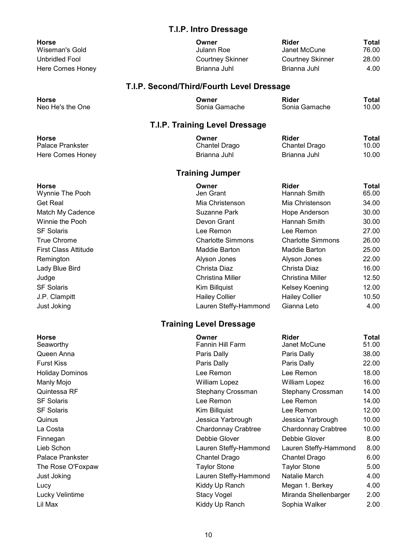#### T.I.P. Intro Dressage

| <b>Horse</b>          |
|-----------------------|
| Wiseman's Gold        |
| <b>Unbridled Fool</b> |
| Here Comes Honey      |

| Horse            | Owner                   | Rider            | Total |
|------------------|-------------------------|------------------|-------|
| Wiseman's Gold   | Julann Roe              | Janet McCune     | 76.00 |
| Unbridled Fool   | <b>Courtney Skinner</b> | Courtney Skinner | 28.00 |
| Here Comes Honey | Brianna Juhl            | Brianna Juhl     | 4.00  |

### T.I.P. Second/Third/Fourth Level Dressage

| <b>Horse</b>     | Owner         | <b>Rider</b>  | Total |
|------------------|---------------|---------------|-------|
| Neo He's the One | Sonia Gamache | Sonia Gamache | 10.00 |

### T.I.P. Training Level Dressage

| Horse            | Owner         | Rider         | Total |
|------------------|---------------|---------------|-------|
| Palace Prankster | Chantel Drago | Chantel Drago | 10.00 |
| Here Comes Honey | Brianna Juhl  | Brianna Juhl  | 10.00 |

### Training Jumper

| <b>Rider</b><br>Total<br>65.00<br>Hannah Smith                |
|---------------------------------------------------------------|
| Mia Christenson<br>Mia Christenson<br>34.00                   |
| 30.00<br>Suzanne Park<br>Hope Anderson                        |
| 30.00<br>Hannah Smith                                         |
| 27.00<br>Lee Remon                                            |
| <b>Charlotte Simmons</b><br>26.00<br><b>Charlotte Simmons</b> |
| 25.00<br>Maddie Barton<br>Maddie Barton                       |
| 22.00<br>Alyson Jones                                         |
| Christa Diaz<br>16.00                                         |
| 12.50<br>Christina Miller<br>Christina Miller                 |
| 12.00<br>Kelsey Koening                                       |
| <b>Hailey Collier</b><br>10.50                                |
| Lauren Steffy-Hammond<br>Gianna Leto<br>4.00                  |
| Devon Grant<br>Alyson Jones<br><b>Hailey Collier</b>          |

### Training Level Dressage

| <b>Horse</b><br>Seaworthy | Owner<br><b>Fannin Hill Farm</b> | <b>Rider</b><br>Janet McCune | Total<br>51.00 |
|---------------------------|----------------------------------|------------------------------|----------------|
| Queen Anna                | Paris Dally                      | Paris Dally                  | 38.00          |
| <b>Furst Kiss</b>         | Paris Dally                      | Paris Dally                  | 22.00          |
| <b>Holiday Dominos</b>    | Lee Remon                        | Lee Remon                    | 18.00          |
| Manly Mojo                | <b>William Lopez</b>             | <b>William Lopez</b>         | 16.00          |
| Quintessa RF              | Stephany Crossman                | Stephany Crossman            | 14.00          |
| <b>SF Solaris</b>         | Lee Remon                        | Lee Remon                    | 14.00          |
| <b>SF Solaris</b>         | Kim Billquist                    | Lee Remon                    | 12.00          |
| Quinus                    | Jessica Yarbrough                | Jessica Yarbrough            | 10.00          |
| La Costa                  | Chardonnay Crabtree              | Chardonnay Crabtree          | 10.00          |
| Finnegan                  | Debbie Glover                    | Debbie Glover                | 8.00           |
| Lieb Schon                | Lauren Steffy-Hammond            | Lauren Steffy-Hammond        | 8.00           |
| <b>Palace Prankster</b>   | Chantel Drago                    | Chantel Drago                | 6.00           |
| The Rose O'Foxpaw         | <b>Taylor Stone</b>              | <b>Taylor Stone</b>          | 5.00           |
| Just Joking               | Lauren Steffy-Hammond            | Natalie March                | 4.00           |
| Lucy                      | Kiddy Up Ranch                   | Megan 1. Berkey              | 4.00           |
| Lucky Velintime           | <b>Stacy Vogel</b>               | Miranda Shellenbarger        | 2.00           |
| Lil Max                   | Kiddy Up Ranch                   | Sophia Walker                | 2.00           |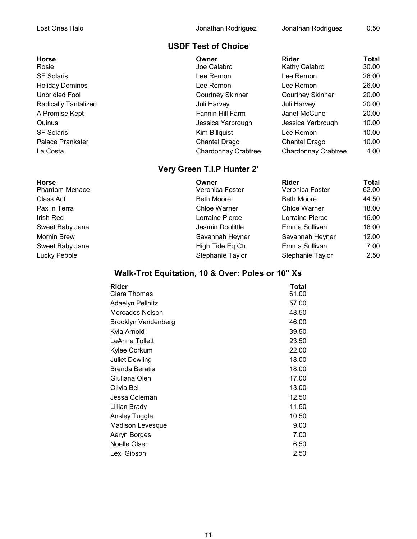### USDF Test of Choice

Horse Owner Rider Total Rosie **Network Calabro Calabro Calabro** Joe Calabro **Kathy Calabro** 30.00 SF Solaris Lee Remon Lee Remon 26.00 Holiday Dominos Lee Remon Lee Remon 26.00 Unbridled Fool Courtney Skinner Courtney Skinner 20.00 Radically Tantalized **National Community Community** Juli Harvey **30.00** Juli Harvey **30.00** A Promise Kept **Fannin Hill Farm** Janet McCune 20.00 Quinus Jessica Yarbrough Jessica Yarbrough 10.00 SF Solaris **SE Solaris** Contract Contract Contract Contract Contract Contract Contract Contract Contract Contract Contract Contract Contract Contract Contract Contract Contract Contract Contract Contract Contract Contract Palace Prankster **Chantel Drago** Chantel Drago Chantel Drago Chantel Drago 10.00 La Costa Chardonnay Crabtree Chardonnay Crabtree 4.00

### Very Green T.I.P Hunter 2'

| <b>Horse</b><br>Phantom Menace | Owner<br>Veronica Foster | <b>Rider</b><br>Veronica Foster | Total<br>62.00 |
|--------------------------------|--------------------------|---------------------------------|----------------|
| Class Act                      | <b>Beth Moore</b>        | <b>Beth Moore</b>               | 44.50          |
| Pax in Terra                   | Chloe Warner             | Chloe Warner                    | 18.00          |
| Irish Red                      | Lorraine Pierce          | Lorraine Pierce                 | 16.00          |
| Sweet Baby Jane                | Jasmin Doolittle         | Emma Sullivan                   | 16.00          |
| Mornin Brew                    | Savannah Heyner          | Savannah Heyner                 | 12.00          |
| Sweet Baby Jane                | High Tide Eq Ctr         | Emma Sullivan                   | 7.00           |
| Lucky Pebble                   | Stephanie Taylor         | Stephanie Taylor                | 2.50           |

### Walk-Trot Equitation, 10 & Over: Poles or 10" Xs

| Rider                 | Total |
|-----------------------|-------|
| Ciara Thomas          | 61.00 |
| Adaelyn Pellnitz      | 57.00 |
| Mercades Nelson       | 48.50 |
| Brooklyn Vandenberg   | 46.00 |
| Kyla Arnold           | 39.50 |
| <b>LeAnne Tollett</b> | 23.50 |
| Kylee Corkum          | 22.00 |
| <b>Juliet Dowling</b> | 18.00 |
| <b>Brenda Beratis</b> | 18.00 |
| Giuliana Olen         | 17.00 |
| Olivia Bel            | 13.00 |
| Jessa Coleman         | 12.50 |
| Lillian Brady         | 11.50 |
| Ansley Tuggle         | 10.50 |
| Madison Levesque      | 9.00  |
| Aeryn Borges          | 7.00  |
| Noelle Olsen          | 6.50  |
| Lexi Gibson           | 2.50  |